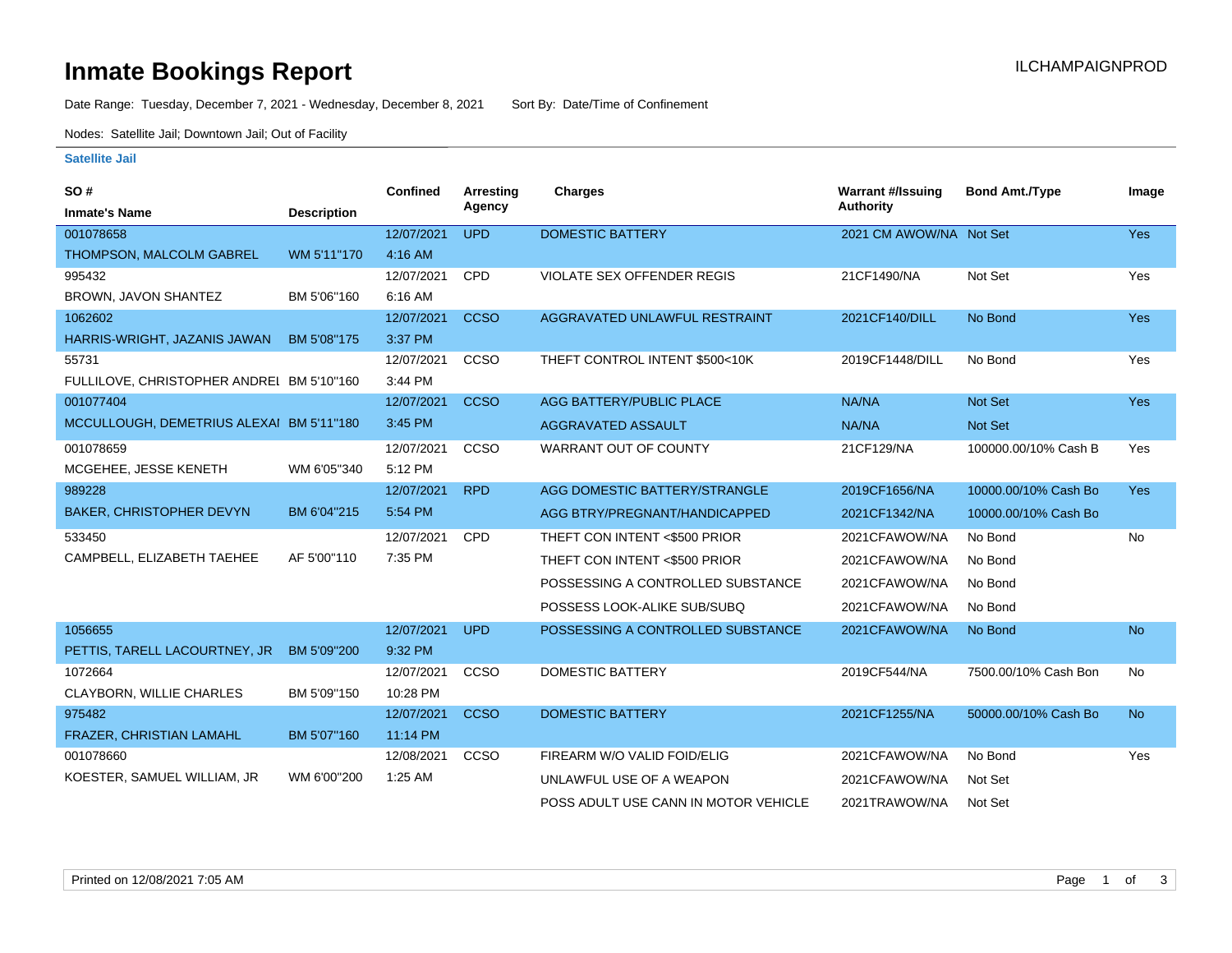# **Inmate Bookings Report Inmate Bookings Report**

Date Range: Tuesday, December 7, 2021 - Wednesday, December 8, 2021 Sort By: Date/Time of Confinement

Nodes: Satellite Jail; Downtown Jail; Out of Facility

### **Satellite Jail**

| SO#                                       |                    | <b>Confined</b> | <b>Arresting</b> | Charges                              | <b>Warrant #/Issuing</b> | <b>Bond Amt./Type</b> | Image      |
|-------------------------------------------|--------------------|-----------------|------------------|--------------------------------------|--------------------------|-----------------------|------------|
| <b>Inmate's Name</b>                      | <b>Description</b> |                 | Agency           |                                      | Authority                |                       |            |
| 001078658                                 |                    | 12/07/2021      | <b>UPD</b>       | <b>DOMESTIC BATTERY</b>              | 2021 CM AWOW/NA Not Set  |                       | <b>Yes</b> |
| THOMPSON, MALCOLM GABREL                  | WM 5'11"170        | 4:16 AM         |                  |                                      |                          |                       |            |
| 995432                                    |                    | 12/07/2021      | <b>CPD</b>       | VIOLATE SEX OFFENDER REGIS           | 21CF1490/NA              | Not Set               | Yes        |
| BROWN, JAVON SHANTEZ                      | BM 5'06"160        | 6:16 AM         |                  |                                      |                          |                       |            |
| 1062602                                   |                    | 12/07/2021      | <b>CCSO</b>      | AGGRAVATED UNLAWFUL RESTRAINT        | 2021CF140/DILL           | No Bond               | <b>Yes</b> |
| HARRIS-WRIGHT, JAZANIS JAWAN              | BM 5'08"175        | 3:37 PM         |                  |                                      |                          |                       |            |
| 55731                                     |                    | 12/07/2021      | <b>CCSO</b>      | THEFT CONTROL INTENT \$500<10K       | 2019CF1448/DILL          | No Bond               | Yes        |
| FULLILOVE, CHRISTOPHER ANDREI BM 5'10"160 |                    | 3:44 PM         |                  |                                      |                          |                       |            |
| 001077404                                 |                    | 12/07/2021      | <b>CCSO</b>      | AGG BATTERY/PUBLIC PLACE             | NA/NA                    | Not Set               | <b>Yes</b> |
| MCCULLOUGH, DEMETRIUS ALEXAI BM 5'11"180  |                    | 3:45 PM         |                  | AGGRAVATED ASSAULT                   | NA/NA                    | <b>Not Set</b>        |            |
| 001078659                                 |                    | 12/07/2021      | <b>CCSO</b>      | <b>WARRANT OUT OF COUNTY</b>         | 21CF129/NA               | 100000.00/10% Cash B  | Yes        |
| MCGEHEE, JESSE KENETH                     | WM 6'05"340        | 5:12 PM         |                  |                                      |                          |                       |            |
| 989228                                    |                    | 12/07/2021      | <b>RPD</b>       | AGG DOMESTIC BATTERY/STRANGLE        | 2019CF1656/NA            | 10000.00/10% Cash Bo  | <b>Yes</b> |
| <b>BAKER, CHRISTOPHER DEVYN</b>           | BM 6'04"215        | 5:54 PM         |                  | AGG BTRY/PREGNANT/HANDICAPPED        | 2021CF1342/NA            | 10000.00/10% Cash Bo  |            |
| 533450                                    |                    | 12/07/2021      | <b>CPD</b>       | THEFT CON INTENT <\$500 PRIOR        | 2021CFAWOW/NA            | No Bond               | No         |
| CAMPBELL, ELIZABETH TAEHEE                | AF 5'00"110        | 7:35 PM         |                  | THEFT CON INTENT <\$500 PRIOR        | 2021CFAWOW/NA            | No Bond               |            |
|                                           |                    |                 |                  | POSSESSING A CONTROLLED SUBSTANCE    | 2021CFAWOW/NA            | No Bond               |            |
|                                           |                    |                 |                  | POSSESS LOOK-ALIKE SUB/SUBQ          | 2021CFAWOW/NA            | No Bond               |            |
| 1056655                                   |                    | 12/07/2021      | <b>UPD</b>       | POSSESSING A CONTROLLED SUBSTANCE    | 2021CFAWOW/NA            | No Bond               | <b>No</b>  |
| PETTIS, TARELL LACOURTNEY, JR             | BM 5'09"200        | 9:32 PM         |                  |                                      |                          |                       |            |
| 1072664                                   |                    | 12/07/2021      | <b>CCSO</b>      | <b>DOMESTIC BATTERY</b>              | 2019CF544/NA             | 7500.00/10% Cash Bon  | <b>No</b>  |
| CLAYBORN, WILLIE CHARLES                  | BM 5'09"150        | 10:28 PM        |                  |                                      |                          |                       |            |
| 975482                                    |                    | 12/07/2021      | <b>CCSO</b>      | <b>DOMESTIC BATTERY</b>              | 2021CF1255/NA            | 50000.00/10% Cash Bo  | <b>No</b>  |
| FRAZER, CHRISTIAN LAMAHL                  | BM 5'07"160        | 11:14 PM        |                  |                                      |                          |                       |            |
| 001078660                                 |                    | 12/08/2021      | <b>CCSO</b>      | FIREARM W/O VALID FOID/ELIG          | 2021CFAWOW/NA            | No Bond               | Yes        |
| KOESTER, SAMUEL WILLIAM, JR               | WM 6'00"200        | $1:25$ AM       |                  | UNLAWFUL USE OF A WEAPON             | 2021CFAWOW/NA            | Not Set               |            |
|                                           |                    |                 |                  | POSS ADULT USE CANN IN MOTOR VEHICLE | 2021TRAWOW/NA            | Not Set               |            |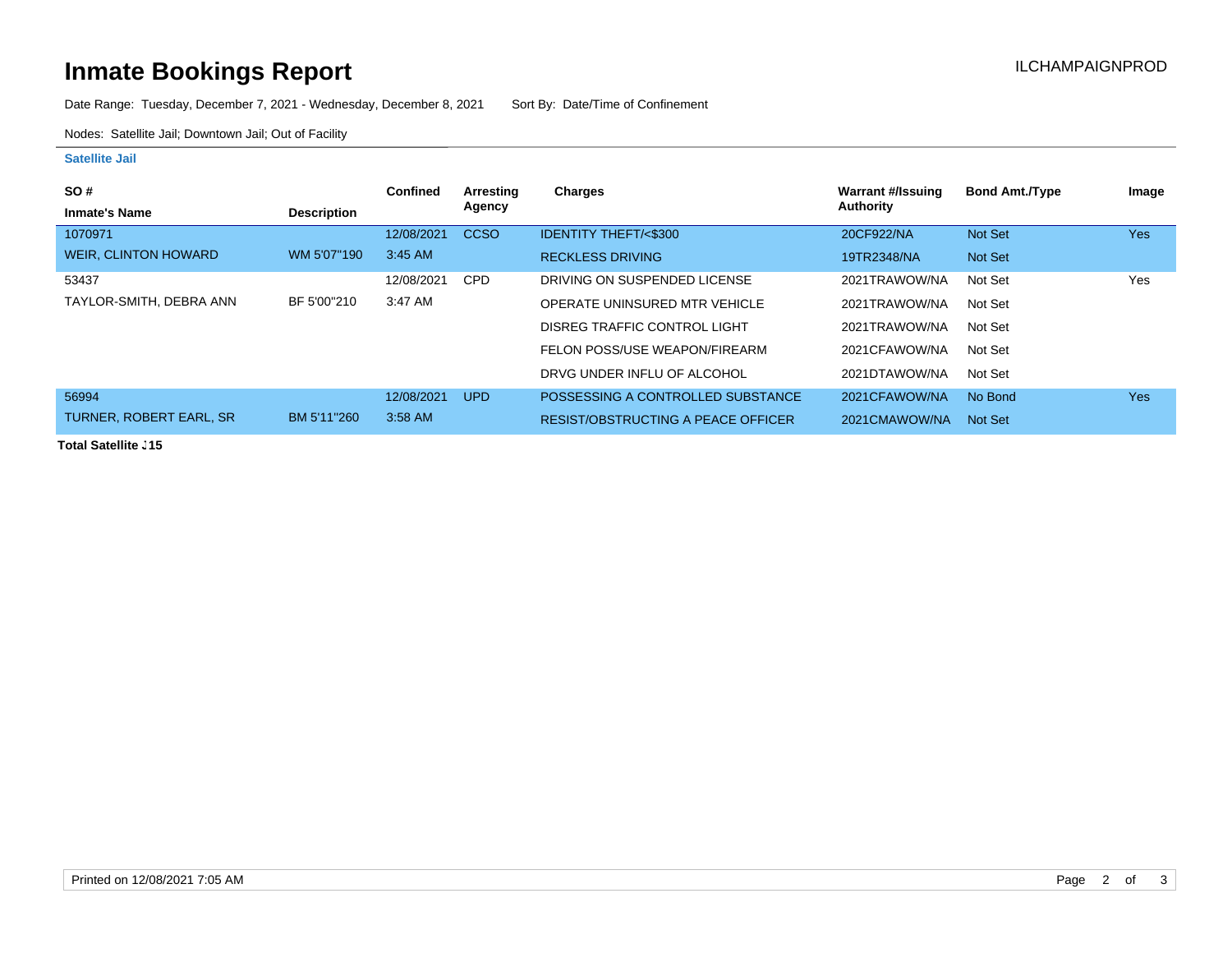# **Inmate Bookings Report Installation Control Control Control Control Control Control Control Control Control Control Control Control Control Control Control Control Control Control Control Control Control Control Control**

Date Range: Tuesday, December 7, 2021 - Wednesday, December 8, 2021 Sort By: Date/Time of Confinement

Nodes: Satellite Jail; Downtown Jail; Out of Facility

#### **Satellite Jail**

| <b>SO#</b>                     |                    | <b>Confined</b> | Arresting   | Charges                            | <b>Warrant #/Issuing</b> | <b>Bond Amt./Type</b> | Image |
|--------------------------------|--------------------|-----------------|-------------|------------------------------------|--------------------------|-----------------------|-------|
| <b>Inmate's Name</b>           | <b>Description</b> |                 | Agency      |                                    | Authority                |                       |       |
| 1070971                        |                    | 12/08/2021      | <b>CCSO</b> | <b>IDENTITY THEFT/&lt;\$300</b>    | 20CF922/NA               | Not Set               | Yes   |
| <b>WEIR, CLINTON HOWARD</b>    | WM 5'07"190        | 3:45 AM         |             | <b>RECKLESS DRIVING</b>            | 19TR2348/NA              | Not Set               |       |
| 53437                          |                    | 12/08/2021      | <b>CPD</b>  | DRIVING ON SUSPENDED LICENSE       | 2021TRAWOW/NA            | Not Set               | Yes   |
| TAYLOR-SMITH, DEBRA ANN        | BF 5'00"210        | 3:47 AM         |             | OPERATE UNINSURED MTR VEHICLE      | 2021TRAWOW/NA            | Not Set               |       |
|                                |                    |                 |             | DISREG TRAFFIC CONTROL LIGHT       | 2021TRAWOW/NA            | Not Set               |       |
|                                |                    |                 |             | FELON POSS/USE WEAPON/FIREARM      | 2021CFAWOW/NA            | Not Set               |       |
|                                |                    |                 |             | DRVG UNDER INFLU OF ALCOHOL        | 2021DTAWOW/NA            | Not Set               |       |
| 56994                          |                    | 12/08/2021      | <b>UPD</b>  | POSSESSING A CONTROLLED SUBSTANCE  | 2021CFAWOW/NA            | No Bond               | Yes   |
| <b>TURNER, ROBERT EARL, SR</b> | BM 5'11"260        | 3:58 AM         |             | RESIST/OBSTRUCTING A PEACE OFFICER | 2021CMAWOW/NA            | Not Set               |       |

**Total Satellite J15**